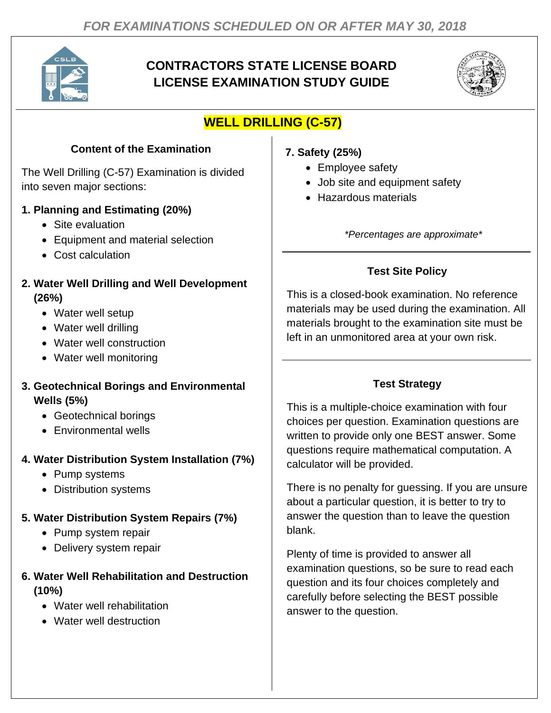

# **CONTRACTORS STATE LICENSE BOARD LICENSE EXAMINATION STUDY GUIDE**



# **WELL DRILLING (C-57)**

## **Content of the Examination**

The Well Drilling (C-57) Examination is divided into seven major sections:

#### **1. Planning and Estimating (20%)**

- Site evaluation
- Equipment and material selection
- Cost calculation
- **2. Water Well Drilling and Well Development (26%)**
	- Water well setup
	- Water well drilling
	- Water well construction
	- Water well monitoring
- **3. Geotechnical Borings and Environmental Wells (5%)**
	- Geotechnical borings
	- Environmental wells

### **4. Water Distribution System Installation (7%)**

- Pump systems
- Distribution systems

# **5. Water Distribution System Repairs (7%)**

- Pump system repair
- Delivery system repair

### **6. Water Well Rehabilitation and Destruction (10%)**

- Water well rehabilitation
- Water well destruction

## **7. Safety (25%)**

- Employee safety
- Job site and equipment safety
- Hazardous materials

*\*Percentages are approximate\**

# **Test Site Policy**

This is a closed-book examination. No reference materials may be used during the examination. All materials brought to the examination site must be left in an unmonitored area at your own risk.

# **Test Strategy**

This is a multiple-choice examination with four choices per question. Examination questions are written to provide only one BEST answer. Some questions require mathematical computation. A calculator will be provided.

There is no penalty for guessing. If you are unsure about a particular question, it is better to try to answer the question than to leave the question blank.

Plenty of time is provided to answer all examination questions, so be sure to read each question and its four choices completely and carefully before selecting the BEST possible answer to the question.